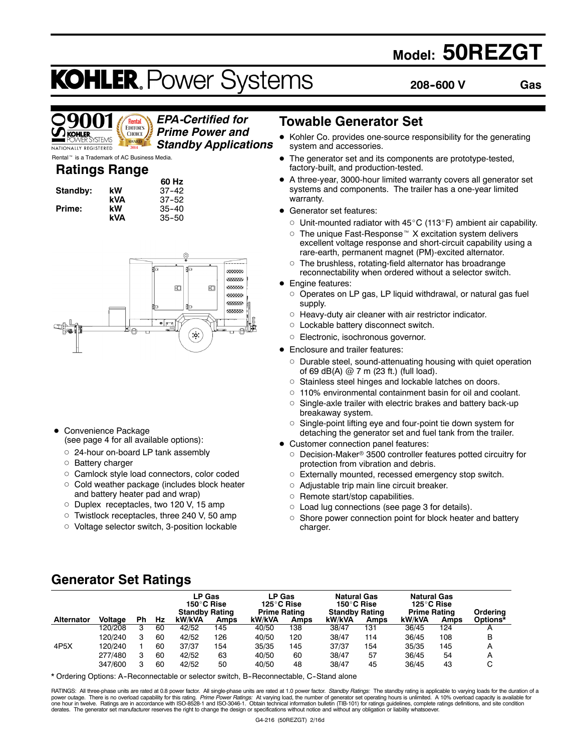## **Model: 50REZGT**

# **KOHLER. Power Systems**

**208--600 V Gas**



#### *EPA-Certified for Prime Power and Standby Applications*

Rental<sup>™</sup> is a Trademark of AC Business Media.

### **Ratings Range**

|          |     | 60 Hz     |
|----------|-----|-----------|
| Standby: | kW  | $37 - 42$ |
|          | kVA | $37 - 52$ |
| Prime:   | kW  | $35 - 40$ |
|          | k۷۸ | 35-50     |

| . .u. .yu |           |
|-----------|-----------|
|           | 60 Hz     |
| kW        | $37 - 42$ |
| kVA       | 37-52     |
| kW        | 35-40     |
| kVA       | 35-50     |
|           |           |



• Convenience Package

(see page 4 for all available options): o 24-hour on-board LP tank assembly

- o Battery charger
- o Camlock style load connectors, color coded
- $\circ$  Cold weather package (includes block heater and battery heater pad and wrap)
- o Duplex receptacles, two 120 V, 15 amp
- o Twistlock receptacles, three 240 V, 50 amp
- o Voltage selector switch, 3-position lockable

### **Towable Generator Set**

- Kohler Co. provides one-source responsibility for the generating system and accessories.
- The generator set and its components are prototype-tested, factory-built, and production-tested.
- A three-year, 3000-hour limited warranty covers all generator set systems and components. The trailer has a one-year limited warranty.
- Generator set features:
	- $\circ$  Unit-mounted radiator with 45 $\circ$ C (113 $\circ$ F) ambient air capability.
	- $\circ$  The unique Fast-Response<sup> $M$ </sup> X excitation system delivers excellent voltage response and short-circuit capability using a rare-earth, permanent magnet (PM)-excited alternator.
	- The brushless, rotating-field alternator has broadrange reconnectability when ordered without a selector switch.
- Engine features:
	- $\circ$  Operates on LP gas, LP liquid withdrawal, or natural gas fuel supply.
	- $\circ$  Heavy-duty air cleaner with air restrictor indicator.
	- Lockable battery disconnect switch.
	- $\circ$  Electronic, isochronous governor.
- Enclosure and trailer features:
	- $\circ$  Durable steel, sound-attenuating housing with quiet operation of 69 dB(A) @ 7 m (23 ft.) (full load).
	- o Stainless steel hinges and lockable latches on doors.
	- $\circ$  110% environmental containment basin for oil and coolant.
	- $\circ$  Single-axle trailer with electric brakes and battery back-up breakaway system.
	- $\circ$  Single-point lifting eye and four-point tie down system for detaching the generator set and fuel tank from the trailer.
- Customer connection panel features:
- $\circ$  Decision-Maker® 3500 controller features potted circuitry for protection from vibration and debris.
- o Externally mounted, recessed emergency stop switch.
- $\circ$  Adjustable trip main line circuit breaker.
- $\circ$  Remote start/stop capabilities.
- $\circ$  Load lug connections (see page 3 for details).
- $\circ$  Shore power connection point for block heater and battery charger.

### **Generator Set Ratings**

|                   |                |     |     | LP Gas<br>150°C Rise<br><b>Standby Rating</b> |      | LP Gas<br>125°C Rise<br><b>Prime Rating</b> |      | <b>Natural Gas</b><br>150°C Rise<br><b>Standby Rating</b> |             | <b>Natural Gas</b><br>125°C Rise<br><b>Prime Rating</b> |      | Orderina |
|-------------------|----------------|-----|-----|-----------------------------------------------|------|---------------------------------------------|------|-----------------------------------------------------------|-------------|---------------------------------------------------------|------|----------|
| <b>Alternator</b> | <b>Voltage</b> | Ph. | Hz. | kW/kVA                                        | Amps | kW/kVA                                      | Amps | kW/kVA                                                    | <b>Amps</b> | kW/kVA                                                  | Amps | Options* |
|                   | 120/208        | 3   | 60  | 42/52                                         | 145  | 40/50                                       | 138  | 38/47                                                     | 131         | 36/45                                                   | 124  |          |
|                   | 120/240        | 3   | 60  | 42/52                                         | 126  | 40/50                                       | 120  | 38/47                                                     | 114         | 36/45                                                   | 108  | B        |
| 4P <sub>5</sub> X | 120/240        |     | 60  | 37/37                                         | 154  | 35/35                                       | 145  | 37/37                                                     | 154         | 35/35                                                   | 145  |          |
|                   | 277/480        | 3   | 60  | 42/52                                         | 63   | 40/50                                       | 60   | 38/47                                                     | 57          | 36/45                                                   | 54   | A        |
|                   | 347/600        | 3   | 60  | 42/52                                         | 50   | 40/50                                       | 48   | 38/47                                                     | 45          | 36/45                                                   | 43   | C        |

\* Ordering Options: A-Reconnectable or selector switch, B-Reconnectable, C-Stand alone

RATINGS: All three-phase units are rated at 0.8 power factor. All single-phase units are rated at 1.0 power factor. *Standby Ratings*: The standby rating is applicable to varying loads for the duration of a<br>power outage. T derates. The generator set manufacturer reserves the right to change the design or specifications without notice and without any obligation or liability whatsoever.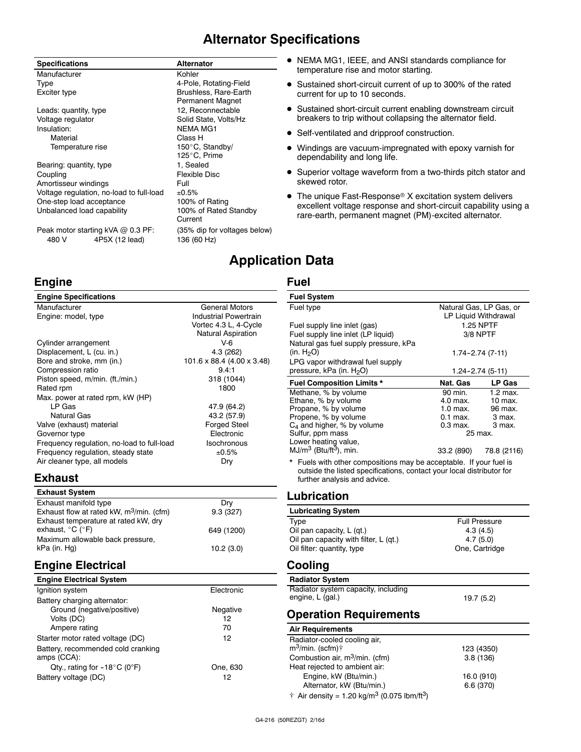### **Alternator Specifications**

| <b>Specifications</b>                                        | <b>Alternator</b>                           |
|--------------------------------------------------------------|---------------------------------------------|
| Manufacturer                                                 | Kohler                                      |
| Type                                                         | 4-Pole, Rotating-Field                      |
| Exciter type                                                 | Brushless, Rare-Earth<br>Permanent Magnet   |
| Leads: quantity, type                                        | 12, Reconnectable                           |
| Voltage regulator                                            | Solid State, Volts/Hz                       |
| Insulation:                                                  | <b>NEMA MG1</b>                             |
| Material                                                     | Class H                                     |
| Temperature rise                                             | 150°C, Standby/                             |
|                                                              | 125°C, Prime                                |
| Bearing: quantity, type                                      | 1, Sealed                                   |
| Coupling                                                     | <b>Flexible Disc</b>                        |
| Amortisseur windings                                         | Full                                        |
| Voltage regulation, no-load to full-load                     | ±0.5%                                       |
| One-step load acceptance                                     | 100% of Rating                              |
| Unbalanced load capability                                   | 100% of Rated Standby<br>Current            |
| Peak motor starting kVA @ 0.3 PF:<br>480 V<br>4P5X (12 lead) | (35% dip for voltages below)<br>136 (60 Hz) |

### **Engine**

| <b>Engine Specifications</b>               |                              |
|--------------------------------------------|------------------------------|
| Manufacturer                               | <b>General Motors</b>        |
| Engine: model, type                        | <b>Industrial Powertrain</b> |
|                                            | Vortec 4.3 L, 4-Cycle        |
|                                            | <b>Natural Aspiration</b>    |
| Cylinder arrangement                       | V-6                          |
| Displacement, L (cu. in.)                  | 4.3 (262)                    |
| Bore and stroke, mm (in.)                  | 101.6 x 88.4 (4.00 x 3.48)   |
| Compression ratio                          | 9.4:1                        |
| Piston speed, m/min. (ft./min.)            | 318 (1044)                   |
| Rated rpm                                  | 1800                         |
| Max. power at rated rpm, kW (HP)           |                              |
| LP Gas                                     | 47.9 (64.2)                  |
| Natural Gas                                | 43.2 (57.9)                  |
| Valve (exhaust) material                   | <b>Forged Steel</b>          |
| Governor type                              | Electronic                   |
| Frequency regulation, no-load to full-load | Isochronous                  |
| Frequency regulation, steady state         | ±0.5%                        |
| Air cleaner type, all models               | Dry                          |
|                                            |                              |

### **Exhaust**

| <b>Exhaust System</b>                                |            |
|------------------------------------------------------|------------|
| Exhaust manifold type                                | Dry        |
| Exhaust flow at rated kW, m <sup>3</sup> /min. (cfm) | 9.3(327)   |
| Exhaust temperature at rated kW, dry                 |            |
| exhaust, $^{\circ}$ C ( $^{\circ}$ F)                | 649 (1200) |
| Maximum allowable back pressure,                     |            |
| kPa (in. Hg)                                         | 10.2(3.0)  |

### **Engine Electrical**

| <b>Engine Electrical System</b>                   |            |
|---------------------------------------------------|------------|
| Ignition system                                   | Flectronic |
| Battery charging alternator:                      |            |
| Ground (negative/positive)                        | Negative   |
| Volts (DC)                                        | 12         |
| Ampere rating                                     | 70         |
| Starter motor rated voltage (DC)                  | 12         |
| Battery, recommended cold cranking<br>amps (CCA): |            |
| Qty., rating for $-18^{\circ}$ C (0°F)            | One, 630   |
| Battery voltage (DC)                              | 12         |

#### $\bullet$  NEMA MG1, IEEE, and ANSI standards compliance for temperature rise and motor starting.

- Sustained short-circuit current of up to 300% of the rated current for up to 10 seconds.
- **•** Sustained short-circuit current enabling downstream circuit breakers to trip without collapsing the alternator field.
- Self-ventilated and dripproof construction.
- Windings are vacuum-impregnated with epoxy varnish for dependability and long life.
- Superior voltage waveform from a two-thirds pitch stator and skewed rotor.
- $\bullet$  The unique Fast-Response® X excitation system delivers excellent voltage response and short-circuit capability using a rare-earth, permanent magnet (PM)-excited alternator.

### **Application Data**

#### **Fuel**

| <b>Fuel System</b>                                                                                                   |            |                                                 |
|----------------------------------------------------------------------------------------------------------------------|------------|-------------------------------------------------|
| Fuel type                                                                                                            |            | Natural Gas, LP Gas, or<br>LP Liquid Withdrawal |
| Fuel supply line inlet (gas)                                                                                         |            | 1.25 NPTF                                       |
| Fuel supply line inlet (LP liquid)                                                                                   |            | 3/8 NPTF                                        |
| Natural gas fuel supply pressure, kPa                                                                                |            |                                                 |
| (in. $H_2O$ )                                                                                                        |            | 1.74-2.74 (7-11)                                |
| LPG vapor withdrawal fuel supply                                                                                     |            |                                                 |
| pressure, kPa (in. H <sub>2</sub> O)                                                                                 |            | 1.24-2.74 (5-11)                                |
| <b>Fuel Composition Limits *</b>                                                                                     | Nat. Gas   | <b>LP Gas</b>                                   |
| Methane, % by volume                                                                                                 | 90 min.    | $1.2$ max.                                      |
| Ethane, % by volume                                                                                                  | 4.0 max.   | 10 max.                                         |
| Propane, % by volume                                                                                                 | $1.0$ max. | 96 max.                                         |
| Propene, % by volume                                                                                                 | $0.1$ max. | 3 max.                                          |
| $C_4$ and higher, % by volume                                                                                        | $0.3$ max. | 3 max.                                          |
| Sulfur, ppm mass                                                                                                     |            | 25 max.                                         |
| Lower heating value,                                                                                                 |            |                                                 |
| $MJ/m^3$ (Btu/ft <sup>3</sup> ), min.                                                                                | 33.2 (890) | 78.8 (2116)                                     |
| outside the listed specifications, contact your local distributor for<br>further analysis and advice.<br>Lubrication |            |                                                 |
| <b>Lubricating System</b>                                                                                            |            |                                                 |
| Type                                                                                                                 |            | <b>Full Pressure</b>                            |
| Oil pan capacity, L (qt.)                                                                                            |            | 4.3(4.5)                                        |
| Oil pan capacity with filter, L (qt.)                                                                                |            | 4.7(5.0)                                        |
| Oil filter: quantity, type                                                                                           |            | One, Cartridge                                  |
| Cooling                                                                                                              |            |                                                 |
| <b>Radiator System</b>                                                                                               |            |                                                 |
| Radiator system capacity, including<br>engine, L (gal.)                                                              |            | 19.7 (5.2)                                      |
| Operation Requirements                                                                                               |            |                                                 |
| <b>Air Requirements</b>                                                                                              |            |                                                 |
|                                                                                                                      |            |                                                 |

| Radiator-cooled cooling air,                                                |            |
|-----------------------------------------------------------------------------|------------|
| $m^3$ /min. (scfm)†                                                         | 123 (4350) |
| Combustion air, $m^3/m$ in. (cfm)                                           | 3.8(136)   |
| Heat rejected to ambient air:                                               |            |
| Engine, kW (Btu/min.)                                                       | 16.0 (910) |
| Alternator, kW (Btu/min.)                                                   | 6.6 (370)  |
| $\dagger$ Air density = 1.20 kg/m <sup>3</sup> (0.075 lbm/ft <sup>3</sup> ) |            |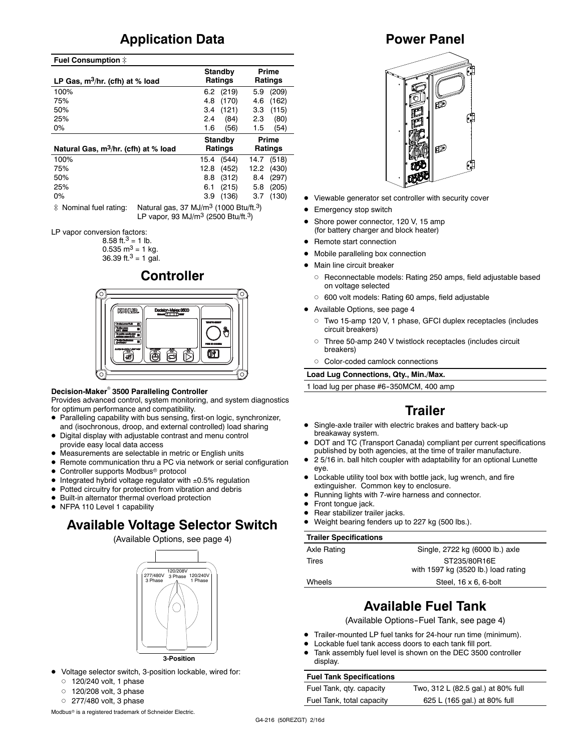### **Application Data**

#### **Fuel Consumption**  $\ddagger$

| LP Gas, $m^3/hr$ . (cfh) at % load               | Standby<br><b>Ratings</b> | Prime<br><b>Ratings</b> |
|--------------------------------------------------|---------------------------|-------------------------|
| 100%                                             | (219)<br>6.2              | (209)<br>5.9            |
| 75%                                              | 4.8<br>(170)              | (162)<br>4.6            |
| 50%                                              | (121)<br>3.4              | (115)<br>3.3            |
| 25%                                              | (84)<br>2.4               | (80)<br>2.3             |
| $0\%$                                            | (56)<br>1.6               | (54)<br>1.5             |
|                                                  | Standby<br>Ratings        | Prime<br>Ratings        |
| Natural Gas, m <sup>3</sup> /hr. (cfh) at % load |                           |                         |
| 100%                                             | (544)<br>15.4             | (518)<br>14.7           |
| 75%                                              | 12.8<br>(452)             | 12.2<br>(430)           |
| 50%                                              | 8.8<br>(312)              | (297)<br>8.4            |
| 25%                                              | 6.1<br>(215)              | (205)<br>5.8            |
| $0\%$                                            | (136)<br>3.9              | (130)<br>3.7            |

 $\ddot{\text{*}}$  Nominal fuel rating: Natural gas, 37 MJ/m<sup>3</sup> (1000 Btu/ft.<sup>3</sup>) LP vapor, 93 MJ/m3 (2500 Btu/ft.3)

LP vapor conversion factors:

8.58 ft. $3 = 1$  lb.  $0.535$  m<sup>3</sup> = 1 kg.

36.39 ft. $3 = 1$  gal.

### **Controller**



#### **Decision-Maker<sup>®</sup> 3500 Paralleling Controller**

Provides advanced control, system monitoring, and system diagnostics for optimum performance and compatibility.

- Paralleling capability with bus sensing, first-on logic, synchronizer, and (isochronous, droop, and external controlled) load sharing
- Digital display with adjustable contrast and menu control provide easy local data access
- $\bullet$  Measurements are selectable in metric or English units
- Remote communication thru a PC via network or serial configuration
- Controller supports Modbus<sup>®</sup> protocol
- $\bullet$  Integrated hybrid voltage regulator with  $\pm 0.5\%$  regulation
- Potted circuitry for protection from vibration and debris
- $\bullet$  Built-in alternator thermal overload protection
- NFPA 110 Level 1 capability

### **Available Voltage Selector Switch**

(Available Options, see page 4)



- $\bullet$  Voltage selector switch, 3-position lockable, wired for:
	- $0$  120/240 volt, 1 phase
	- $0$  120/208 volt, 3 phase
	- $0$  277/480 volt, 3 phase

Modbus<sup>®</sup> is a registered trademark of Schneider Electric.

### **Power Panel**



- Viewable generator set controller with security cover
- Emergency stop switch
- Shore power connector, 120 V, 15 amp (for battery charger and block heater)
- Remote start connection
- Mobile paralleling box connection
- Main line circuit breaker
	- o Reconnectable models: Rating 250 amps, field adjustable based on voltage selected
	- o 600 volt models: Rating 60 amps, field adjustable
- $\bullet$  Available Options, see page 4
	- d Two 15-amp 120 V, 1 phase, GFCI duplex receptacles (includes circuit breakers)
	- d Three 50-amp 240 V twistlock receptacles (includes circuit breakers)
	- d Color-coded camlock connections

**Load Lug Connections, Qty., Min./Max.**

1 load lug per phase #6-350MCM, 400 amp

### **Trailer**

- Single-axle trailer with electric brakes and battery back-up breakaway system.
- DOT and TC (Transport Canada) compliant per current specifications published by both agencies, at the time of trailer manufacture.
- 2 5/16 in. ball hitch coupler with adaptability for an optional Lunette eye.
- $\bullet$  Lockable utility tool box with bottle jack, lug wrench, and fire extinguisher. Common key to enclosure.
- Running lights with 7-wire harness and connector.
- Front tonque jack.
- Rear stabilizer trailer jacks.
- Weight bearing fenders up to 227 kg (500 lbs.).

#### **Trailer Specifications**

| Axle Rating | Single, 2722 kg (6000 lb.) axle                     |
|-------------|-----------------------------------------------------|
| Tires       | ST235/80R16E<br>with 1597 kg (3520 lb.) load rating |
| Wheels      | Steel, $16 \times 6$ , 6-bolt                       |
|             |                                                     |

### **Available Fuel Tank**

(Available Options-Fuel Tank, see page 4)

- Trailer-mounted LP fuel tanks for 24-hour run time (minimum).
- Lockable fuel tank access doors to each tank fill port.
- Tank assembly fuel level is shown on the DEC 3500 controller display.

#### **Fuel Tank Specifications**

Fuel Tank, qty. capacity Two, 312 L (82.5 gal.) at 80% full Fuel Tank, total capacity 625 L (165 gal.) at 80% full